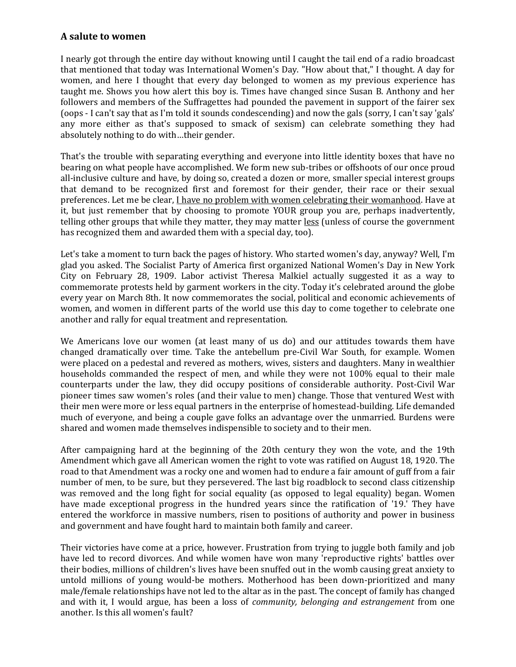## **A salute to women**

I nearly got through the entire day without knowing until I caught the tail end of a radio broadcast that mentioned that today was International Women's Day. "How about that," I thought. A day for women, and here I thought that every day belonged to women as my previous experience has taught me. Shows you how alert this boy is. Times have changed since Susan B. Anthony and her followers and members of the Suffragettes had pounded the pavement in support of the fairer sex (oops - I can't say that as I'm told it sounds condescending) and now the gals (sorry, I can't say 'gals' any more either as that's supposed to smack of sexism) can celebrate something they had absolutely nothing to do with…their gender.

That's the trouble with separating everything and everyone into little identity boxes that have no bearing on what people have accomplished. We form new sub-tribes or offshoots of our once proud all-inclusive culture and have, by doing so, created a dozen or more, smaller special interest groups that demand to be recognized first and foremost for their gender, their race or their sexual preferences. Let me be clear, I have no problem with women celebrating their womanhood. Have at it, but just remember that by choosing to promote YOUR group you are, perhaps inadvertently, telling other groups that while they matter, they may matter less (unless of course the government has recognized them and awarded them with a special day, too).

Let's take a moment to turn back the pages of history. Who started women's day, anyway? Well, I'm glad you asked. The Socialist Party of America first organized National Women's Day in New York City on February 28, 1909. Labor activist Theresa Malkiel actually suggested it as a way to commemorate protests held by garment workers in the city. Today it's celebrated around the globe every year on March 8th. It now commemorates the social, political and economic achievements of women, and women in different parts of the world use this day to come together to celebrate one another and rally for equal treatment and representation.

We Americans love our women (at least many of us do) and our attitudes towards them have changed dramatically over time. Take the antebellum pre-Civil War South, for example. Women were placed on a pedestal and revered as mothers, wives, sisters and daughters. Many in wealthier households commanded the respect of men, and while they were not 100% equal to their male counterparts under the law, they did occupy positions of considerable authority. Post-Civil War pioneer times saw women's roles (and their value to men) change. Those that ventured West with their men were more or less equal partners in the enterprise of homestead-building. Life demanded much of everyone, and being a couple gave folks an advantage over the unmarried. Burdens were shared and women made themselves indispensible to society and to their men.

After campaigning hard at the beginning of the 20th century they won the vote, and the 19th Amendment which gave all American women the right to vote was ratified on August 18, 1920. The road to that Amendment was a rocky one and women had to endure a fair amount of guff from a fair number of men, to be sure, but they persevered. The last big roadblock to second class citizenship was removed and the long fight for social equality (as opposed to legal equality) began. Women have made exceptional progress in the hundred years since the ratification of '19.' They have entered the workforce in massive numbers, risen to positions of authority and power in business and government and have fought hard to maintain both family and career.

Their victories have come at a price, however. Frustration from trying to juggle both family and job have led to record divorces. And while women have won many 'reproductive rights' battles over their bodies, millions of children's lives have been snuffed out in the womb causing great anxiety to untold millions of young would-be mothers. Motherhood has been down-prioritized and many male/female relationships have not led to the altar as in the past. The concept of family has changed and with it, I would argue, has been a loss of *community, belonging and estrangement* from one another. Is this all women's fault?